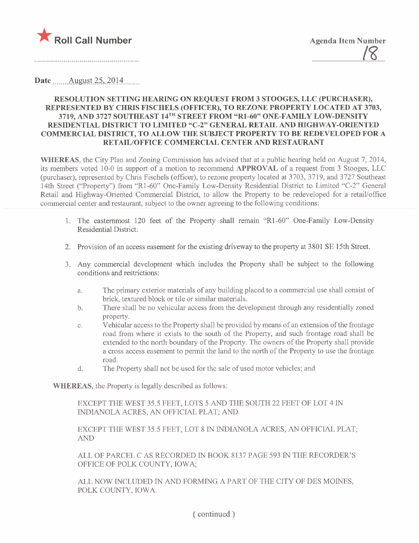

Date \_\_\_\_\_ August 25, 2014

#### RESOLUTION SETTING HEARING ON REQUEST FROM 3 STOOGES, LLC (PURCHASER), REPRESENTED BY CHRIS FISCHELS (OFFICER), TO REZONE PROPERTY LOCATED AT 3703, 3719, AND 3727 SOUTHEAST 14TH STREET FROM "RI-60" ONE-FAMILY LOW-DENSITY RESIDENTIAL DISTRICT TO LIMITED "C-2" GENERAL RETAIL AND HIGHWAY-ORIENTED COMMERCIAL DISTRICT, TO ALLOW THE SUBJECT PROPERTY TO BE REDEVELOPED FOR A RETAIL/OFFICE COMMERCIAL CENTER AND RESTAURANT

WHEREAS, the City Plan and Zoning Commission has advised that at a public hearing held on August 7, 2014, its members voted 10-0 in support of a motion to recommend APPROVAL of a request from 3 Stooges, LLC (purchaser), represented by Chrs Fischels (offcer), to rezone property located at 3703, 3719, and 3727 Southeast 14th Street ("Property") from "Rl-60" One-Family Low-Density Residential District to Limited "C-2" General Retail and Highway-Oriented Commercial District, to allow the Property to be redeveloped for a retail/office commercial center and restaurant, subject to the owner agreeing to the following conditions:

- 1. The easternost 120 feet of the Property shall remain "R1 -60" One-Family Low-Density Residential District.
- 2. Provision of an access easement for the existing driveway to the property at 3801 SE 15th Street.
- 3\_ Any commercial development which includes the Property shall be subject to the following conditions and restrictions:
	- a. The primary exterior materials of any building placed to a commercial use shall consist of brick, textured block or tile or similar materials\_
	- b. There shall be no vehicular access from the development through any residentially zoned property.
	- c. Vehicular access to the Property shall be provided by means of an extension of the frontage road from where it exists to the south of the Property, and such frontage road shall be extended to the north boundary of the Property. The owners of the Property shall provide a cross access easement to permit the land to the north of the Property to use the frontage road.
	- d. The Property shall not be used for the sale of used motor vehicles; and

WHEREAS, the Property is legally described as follows:

EXCEPT THE WEST 35.5 FEET, LOTS 5 AND THE SOUTH 22 FEET OF LOT 4 IN INDIANOLA ACRES, AN OFFICIAL PLAT, AND

EXCEPT THE WEST 35.5 FEET, LOT 8 IN INIANOLA ACRES, AN OFFICIAL PLAT; AN

ALL OF PARCEL C AS RECORDED IN BOOK 8137 PAGE 593 IN THE RECORDER'S OFFICE OF POLK COUNTY, IOWA;

ALL NOW INCLUDED IN AND FORMING A PART OF THE CITY OF DES MOINES, POLK COUNTY, IOWA.

( continued)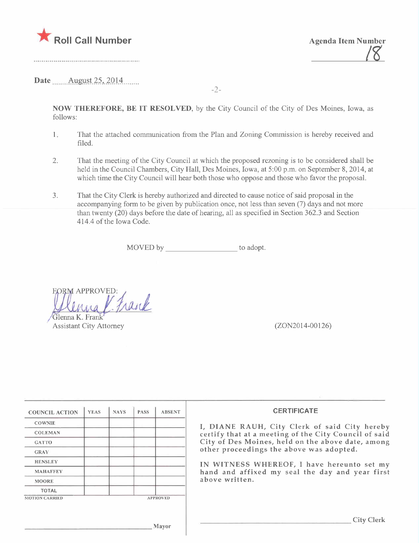

<u>i 8</u>

Date \_\_\_\_\_ August 25, 2014

-2-

NOW THEREFORE, BE IT RESOLVED, by the City Council of the City of Des Moines, Iowa, as follows:

- 1. That the attached communication from the Plan and Zoning Commission is hereby received and fied.
- 2. That the meeting of the City Council at which the proposed rezoning is to be considered shall be held in the Council Chambers, City Hall, Des Moines, Iowa, at 5:00 p.m. on September 8,2014, at which time the City Council will hear both those who oppose and those who favor the proposal.
- 3. That the City Clerk is hereby authorized and directed to cause notice of said proposal in the accompanying form to be given by publication once, not less than seven (7) days and not more than twenty (20) days before the date of hearng, all as specified in Section 362.3 and Section 414.4 of the Iowa Code.

MOVED by to adopt.

ORM APPROVED: rank Glenna K. Frank

**Assistant City Attorney** 

 $(ZON2014-00126)$ 

| <b>COUNCIL ACTION</b> | <b>YEAS</b> | <b>NAYS</b> | <b>PASS</b> | <b>ABSENT</b>   |
|-----------------------|-------------|-------------|-------------|-----------------|
| <b>COWNIE</b>         |             |             |             |                 |
| <b>COLEMAN</b>        |             |             |             |                 |
| <b>GATTO</b>          |             |             |             |                 |
| <b>GRAY</b>           |             |             |             |                 |
| <b>HENSLEY</b>        |             |             |             |                 |
| <b>MAHAFFEY</b>       |             |             |             |                 |
| <b>MOORE</b>          |             |             |             |                 |
| <b>TOTAL</b>          |             |             |             |                 |
| <b>MOTION CARRIED</b> |             |             |             | <b>APPROVED</b> |

#### **CERTIFICATE**

I, DIANE RAUH, City Clerk of said City hereby certify that at a meeting of the City Council of said City of Des Moines, held on the above date, among other proceedings the above was adopted.

IN WITNESS WHEREOF, i have hereunto set my hand and affixed my seal the day and year first above written.

City Clerk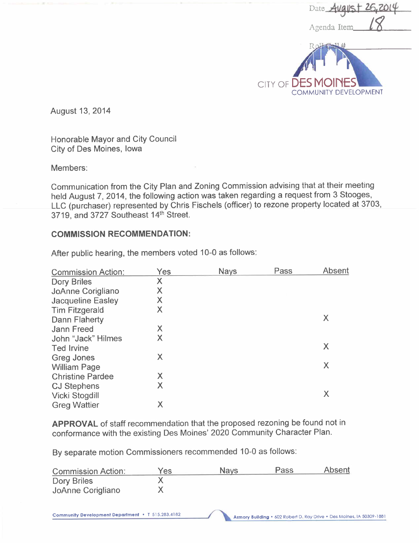

August 13, 2014

Honorable Mayor and City Council City of Des Moines, Iowa

Members:

Communication from the City Plan and Zoning Commission advising that at their meeting held August 7, 2014, the following action was taken regarding a request from 3 Stooges, LLC (purchaser) represented by Chris Fischels (officer) to rezone property located at 3703, 3719, and 3727 Southeast 14th Street.

#### COMMISSION RECOMMENDATION:

| <b>Commission Action:</b> | Yes | <b>Nays</b> | Pass | Absent |
|---------------------------|-----|-------------|------|--------|
| Dory Briles               | Χ   |             |      |        |
| JoAnne Corigliano         | Χ   |             |      |        |
| <b>Jacqueline Easley</b>  | Χ   |             |      |        |
| <b>Tim Fitzgerald</b>     | X   |             |      |        |
| Dann Flaherty             |     |             |      | X      |
| Jann Freed                | X   |             |      |        |
| John "Jack" Hilmes        | Χ   |             |      |        |
| <b>Ted Irvine</b>         |     |             |      | Χ      |
| <b>Greg Jones</b>         | X   |             |      |        |
| <b>William Page</b>       |     |             |      | X      |
| <b>Christine Pardee</b>   | X   |             |      |        |
| <b>CJ Stephens</b>        | X   |             |      |        |
| <b>Vicki Stogdill</b>     |     |             |      | X      |
| <b>Greg Wattier</b>       | Χ   |             |      |        |

After public hearing, the members voted 10-0 as follows:

APPROVAL of staff recommendation that the proposed rezoning be found not in conformance with the existing Des Moines' 2020 Community Character Plan.

By separate motion Commissioners recommended 10-0 as follows:

| <b>Commission Action:</b> | Yes | <b>Nays</b> | Pass | <b>Absent</b> |
|---------------------------|-----|-------------|------|---------------|
| Dory Briles               |     |             |      |               |
| JoAnne Corigliano         |     |             |      |               |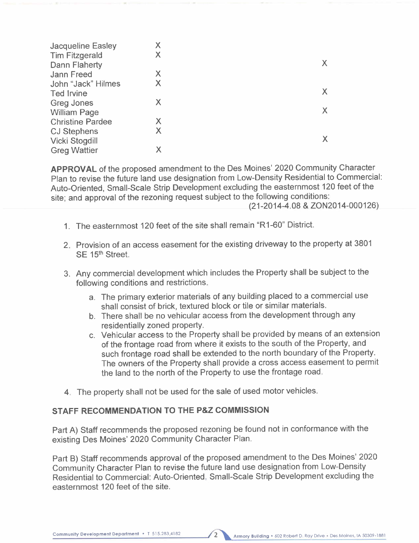| <b>Jacqueline Easley</b> | Χ |   |
|--------------------------|---|---|
| <b>Tim Fitzgerald</b>    | Χ |   |
| Dann Flaherty            |   |   |
| <b>Jann Freed</b>        | X |   |
| John "Jack" Hilmes       | X |   |
| <b>Ted Irvine</b>        |   |   |
| <b>Greg Jones</b>        | Х |   |
| <b>William Page</b>      |   | X |
| <b>Christine Pardee</b>  | Х |   |
| <b>CJ Stephens</b>       | Χ |   |
| <b>Vicki Stogdill</b>    |   |   |
| <b>Greg Wattier</b>      |   |   |

APPROVAL of the proposed amendment to the Des Moines' 2020 Community Character Plan to revise the future land use designation from Low-Density Residential to Commercial: Auto-Oriented, Small-Scale Strip Development excluding the easternmost 120 feet of the site; and approval of the rezoning request subject to the following conditions:

- (21-2014-4.08 & ZON2014-000126)
- 1. The easternmost 120 feet of the site shall remain "R 1-60" District.
- 2. Provision of an access easement for the existing driveway to the property at 3801 SE 15<sup>th</sup> Street.
- 3. Any commercial development which includes the Property shall be subject to the following conditions and restrictions.
	- a. The primary exterior materials of any building placed to a commercial use shall consist of brick, textured block or tile or similar materials.
	- b. There shall be no vehicular access from the development through any residentially zoned property.
	- c. Vehicular access to the Property shall be provided by means of an extension of the frontage road from where it exists to the south of the Property, and such frontage road shall be extended to the north boundary of the Property. The owners of the Property shall provide a cross access easement to permit the land to the north of the Property to use the frontage road.
- 4. The property shall not be used for the sale of used motor vehicles.

#### STAFF RECOMMENDATION TO THE P&Z COMMISSION

Part A) Staff recommends the proposed rezoning be found not in conformance with the existing Des Moines' 2020 Community Character Plan.

Part B) Staff recommends approval of the proposed amendment to the Des Moines' 2020 Community Character Plan to revise the future land use designation from Low-Density Residential to Commercial: Auto-Oriented, Small-Scale Strip Development excluding the easternmost 120 feet of the site.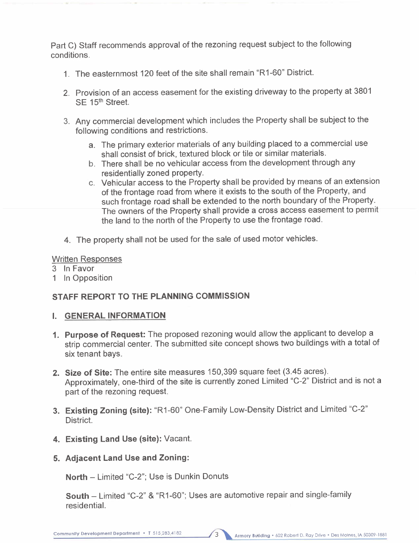Part C) Staff recommends approval of the rezoning request subject to the following conditions.

- 1. The easternmost 120 feet of the site shall remain "R 1-60" District.
- 2. Provision of an access easement for the existing driveway to the property at 3801 SE 15<sup>th</sup> Street.
- 3. Any commercial development which includes the Property shall be subject to the following conditions and restrictions.
	- a. The primary exterior materials of any building placed to a commercial use shall consist of brick, textured block or tile or similar materials.
	- b. There shall be no vehicular access from the development through any residentially zoned property.
	- c. Vehicular access to the Property shall be provided by means of an extension of the frontage road from where it exists to the south of the Property, and such frontage road shall be extended to the north boundary of the Property. The owners of the Property shall provide a cross access easement to permit the land to the north of the Property to use the frontage road.
- 4. The property shall not be used for the sale of used motor vehicles.

#### Written Responses

- 3 In Favor
- 1 In Opposition

# STAFF REPORT TO THE PLANNING COMMISSION

## i. GENERAL INFORMATION

- 1. Purpose of Request: The proposed rezoning would allow the applicant to develop a strip commercial center. The submitted site concept shows two buildings with a total of six tenant bays.
- 2. Size of Site: The entire site measures 150,399 square feet (3.45 acres). Approximately, one-third of the site is currently zoned Limited "C-2" District and is not a part of the rezoning request.
- 3. Existing Zoning (site): "R1-60" One-Family Low-Density District and Limited "C-2" District.
- 4. Existing Land Use (site): Vacant.
- 5. Adjacent Land Use and Zoning:

North - Limited "C-2"; Use is Dunkin Donuts

South - Limited "C-2" & "R1-60"; Uses are automotive repair and single-family residentiaL.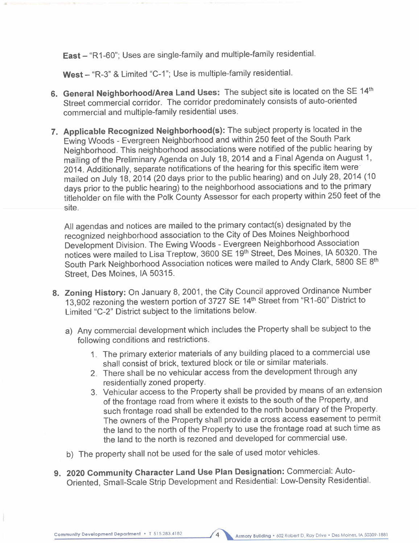East - "R1-60"; Uses are single-family and multiple-family residential.

West - "R-3" & Limited "C-1"; Use is multiple-family residential.

- 6. General Neighborhood/Area Land Uses: The subject site is located on the SE 14th Street commercial corridor. The corridor predominately consists of auto-oriented commercial and multiple-family residential uses.
- 7. Applicable Recognized Neighborhood(s): The subject property is located in the Ewing Woods - Evergreen Neighborhood and within 250 feet of the South Park Neighborhood. This neighborhood associations were notified of the public hearing by mailing of the Preliminary Agenda on July 18, 2014 and a Final Agenda on August 1, 2014. Additionally, separate notifications of the hearing for this specific item weremailed on July 18, 2014 (20 days prior to the public hearing) and on July 28,2014 (10 days prior to the public hearing) to the neighborhood associations and to the primary titleholder on file with the Polk County Assessor for each property within 250 feet of the site.

All agendas and notices are mailed to the primary contact(s) designated by the recognized neighborhood association to the City of Des Moines Neighborhood Development Division. The Ewing Woods - Evergreen Neighborhood Association notices were mailed to Lisa Treptow, 3600 SE 19th Street, Des Moines, IA 50320. The South Park Neighborhood Association notices were mailed to Andy Clark, 5800 SE 8th Street, Des Moines, IA 50315.

- 8. Zoning History: On January 8, 2001, the City Council approved Ordinance Number 13,902 rezoning the western portion of 3727 SE 14th Street from "R 1-60" District to Limited "C-2" District subject to the limitations below.
	- a) Any commercial development which includes the Property shall be subject to the following conditions and restrictions.
		- 1. The primary exterior materials of any building placed to a commercial use shall consist of brick, textured block or tile or similar materials.
		- 2. There shall be no vehicular access from the development through any residentially zoned property.
		- 3. Vehicular access to the Property shall be provided by means of an extension of the frontage road from where it exists to the south of the Property, and such frontage road shall be extended to the north boundary of the Property. The owners of the Property shall provide a cross access easement to permit the land to the north of the Property to use the frontage road at such time as the land to the north is rezoned and developed for commercial use.
	- b) The property shall not be used for the sale of used motor vehicles.
- 9. 2020 Community Character Land Use Plan Designation: Commercial: Auto-Oriented, Small-Scale Strip Development and Residential: Low-Density ResidentiaL.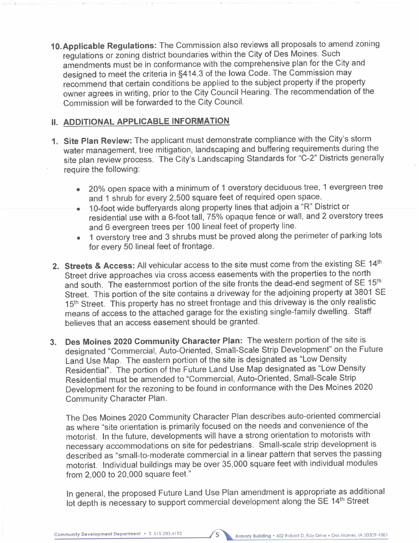10.Applicable Regulations: The Commission also reviews all proposals to amend zoning regulations or zoning district boundaries within the City of Des Moines. Such amendments must be in conformance with the comprehensive plan for the City and designed to meet the criteria in §414.3 of the Iowa Code. The Commission may recommend that certain conditions be applied to the subject property if the property owner agrees in writing, prior to the City Council Hearing. The recommendation of the Commission will be forwarded to the City CounciL.

## 11. ADDITIONAL APPLICABLE INFORMATION

- 1. Site Plan Review: The applicant must demonstrate compliance with the City's storm water management, tree mitigation, landscaping and buffering requirements during the site plan review process. The City's Landscaping Standards for "C-2" Districts generally require the following:
	- . 20% open space with a minimum of 1 overstory deciduous tree, 1 evergreen tree and 1 shrub for every 2,500 square feet of required open space.
	- . 1 O-foot wide bufferyards along property lines that adjoin a "R" District or residential use with a 6-foot tall, 75% opaque fence or wall, and 2 overstory trees and 6 evergreen trees per 100 lineal feet of property line.
	- . 1 overstory tree and 3 shrubs must be proved along the perimeter of parking lots for every 50 lineal feet of frontage.
- 2. Streets & Access: All vehicular access to the site must come from the existing SE 14th Street drive approaches via cross access easements with the properties to the north and south. The easternmost portion of the site fronts the dead-end segment of SE 15th Street. This portion of the site contains a driveway for the adjoining property at 3801 SE 15<sup>th</sup> Street. This property has no street frontage and this driveway is the only realistic means of access to the attached garage for the existing single-family dwelling. Staff believes that an access easement should be granted.
- 3. Des Moines 2020 Community Character Plan: The western portion of the site is designated "Commercial, Auto-Oriented, Small-Scale Strip Development" on the Future Land Use Map. The eastern portion of the site is designated as "Low Density Residential". The portion of the Future Land Use Map designated as "Low Density Residential must be amended to "Commercial, Auto-Oriented, Small-Scale Strip Development for the rezoning to be found in conformance with the Des Moines 2020 Community Character Plan.

The Des Moines 2020 Community Character Plan describes auto-oriented commercial as where "site orientation is primarily focused on the needs and convenience of the motorist. In the future, developments will have a strong orientation to motorists with necessary accommodations on site for pedestrians. Small-scale strip development is described as "small-to-moderate commercial in a linear pattern that serves the passing motorist. Individual buildings may be over 35,000 square feet with individual modules from 2,000 to 20,000 square feet."

In general, the proposed Future Land Use Plan amendment is appropriate as additional lot depth is necessary to support commercial development along the SE 14<sup>th</sup> Street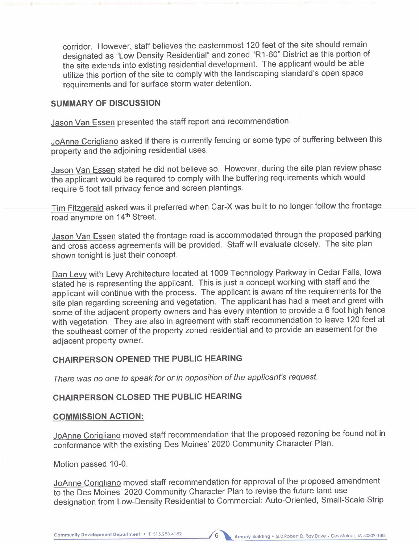corridor. However, staff believes the easternmost 120 feet of the site should remain designated as "Low Density Residential" and zoned "R1-60" District as this portion of the site extends into existing residential development. The applicant would be able utilize this portion of the site to comply with the landscaping standard's open space requirements and for surface storm water detention.

## SUMMARY OF DISCUSSION

Jason Van Essen presented the staff report and recommendation.

JoAnne Coriqliano asked if there is currently fencing or some type of buffering between this property and the adjoining residential uses.

Jason Van Essen stated he did not believe so. However, during the site plan review phase the applicant would be required to comply with the buffering requirements which would require 6 foot tall privacy fence and screen plantings.

Tim Fitzqerald asked was it preferred when Car-X was built to no longer follow the frontage road anymore on 14<sup>th</sup> Street.

Jason Van Essen stated the frontage road is accommodated through the proposed parking and cross access agreements will be provided. Staff will evaluate closely. The site plan shown tonight is just their concept.

Dan Levy with Levy Architecture located at 1009 Technology Parkway in Cedar Falls, Iowa stated he is representing the applicant. This is just a concept working with staff and the applicant will continue with the process. The applicant is aware of the requirements for the site plan regarding screening and vegetation. The applicant has had a meet and greet with some of the adjacent property owners and has every intention to provide a 6 foot high fence with vegetation. They are also in agreement with staff recommendation to leave 120 feet at the southeast corner of the property zoned residential and to provide an easement for the adjacent property owner.

## CHAIRPERSON OPENED THE PUBLIC HEARING

There was no one to speak for or in opposition of the applicant's request.

## CHAIRPERSON CLOSED THE PUBLIC HEARING

#### COMMISSION ACTION:

JoAnne Coriqliano moved staff recommendation that the proposed rezoning be found not in conformance with the existing Des Moines' 2020 Community Character Plan.

Motion passed 10-0.

JoAnne Coriqliano moved staff recommendation for approval of the proposed amendment to the Des Moines' 2020 Community Character Plan to revise the future land use designation from Low-Density Residential to Commercial: Auto-Oriented, Small-Scale Strip